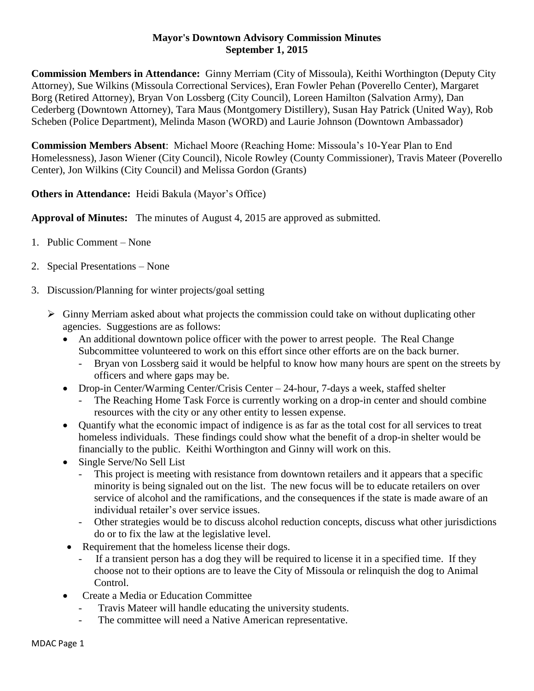## **Mayor's Downtown Advisory Commission Minutes September 1, 2015**

**Commission Members in Attendance:** Ginny Merriam (City of Missoula), Keithi Worthington (Deputy City Attorney), Sue Wilkins (Missoula Correctional Services), Eran Fowler Pehan (Poverello Center), Margaret Borg (Retired Attorney), Bryan Von Lossberg (City Council), Loreen Hamilton (Salvation Army), Dan Cederberg (Downtown Attorney), Tara Maus (Montgomery Distillery), Susan Hay Patrick (United Way), Rob Scheben (Police Department), Melinda Mason (WORD) and Laurie Johnson (Downtown Ambassador)

**Commission Members Absent**: Michael Moore (Reaching Home: Missoula's 10-Year Plan to End Homelessness), Jason Wiener (City Council), Nicole Rowley (County Commissioner), Travis Mateer (Poverello Center), Jon Wilkins (City Council) and Melissa Gordon (Grants)

**Others in Attendance:** Heidi Bakula (Mayor's Office)

**Approval of Minutes:** The minutes of August 4, 2015 are approved as submitted.

- 1. Public Comment None
- 2. Special Presentations None
- 3. Discussion/Planning for winter projects/goal setting
	- $\triangleright$  Ginny Merriam asked about what projects the commission could take on without duplicating other agencies. Suggestions are as follows:
		- An additional downtown police officer with the power to arrest people. The Real Change Subcommittee volunteered to work on this effort since other efforts are on the back burner.
			- Bryan von Lossberg said it would be helpful to know how many hours are spent on the streets by officers and where gaps may be.
		- Drop-in Center/Warming Center/Crisis Center 24-hour, 7-days a week, staffed shelter
			- The Reaching Home Task Force is currently working on a drop-in center and should combine resources with the city or any other entity to lessen expense.
		- Quantify what the economic impact of indigence is as far as the total cost for all services to treat homeless individuals. These findings could show what the benefit of a drop-in shelter would be financially to the public. Keithi Worthington and Ginny will work on this.
		- Single Serve/No Sell List
			- This project is meeting with resistance from downtown retailers and it appears that a specific minority is being signaled out on the list. The new focus will be to educate retailers on over service of alcohol and the ramifications, and the consequences if the state is made aware of an individual retailer's over service issues.
			- Other strategies would be to discuss alcohol reduction concepts, discuss what other jurisdictions do or to fix the law at the legislative level.
		- Requirement that the homeless license their dogs.
			- If a transient person has a dog they will be required to license it in a specified time. If they choose not to their options are to leave the City of Missoula or relinquish the dog to Animal Control.
		- Create a Media or Education Committee
			- Travis Mateer will handle educating the university students.
			- The committee will need a Native American representative.